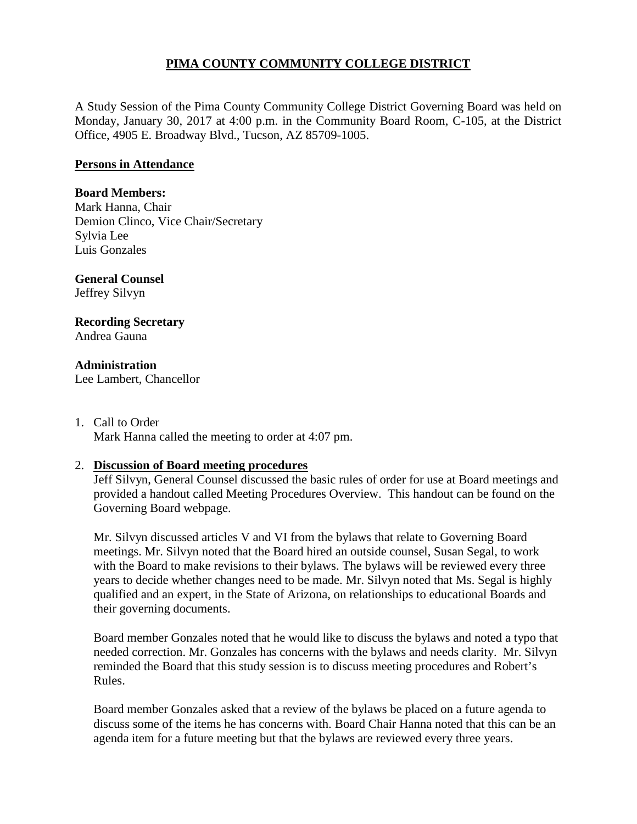# **PIMA COUNTY COMMUNITY COLLEGE DISTRICT**

A Study Session of the Pima County Community College District Governing Board was held on Monday, January 30, 2017 at 4:00 p.m. in the Community Board Room, C-105, at the District Office, 4905 E. Broadway Blvd., Tucson, AZ 85709-1005.

## **Persons in Attendance**

## **Board Members:**

Mark Hanna, Chair Demion Clinco, Vice Chair/Secretary Sylvia Lee Luis Gonzales

#### **General Counsel**  Jeffrey Silvyn

### **Recording Secretary** Andrea Gauna

**Administration**

Lee Lambert, Chancellor

1. Call to Order Mark Hanna called the meeting to order at 4:07 pm.

# 2. **Discussion of Board meeting procedures**

Jeff Silvyn, General Counsel discussed the basic rules of order for use at Board meetings and provided a handout called Meeting Procedures Overview. This handout can be found on the Governing Board webpage.

Mr. Silvyn discussed articles V and VI from the bylaws that relate to Governing Board meetings. Mr. Silvyn noted that the Board hired an outside counsel, Susan Segal, to work with the Board to make revisions to their bylaws. The bylaws will be reviewed every three years to decide whether changes need to be made. Mr. Silvyn noted that Ms. Segal is highly qualified and an expert, in the State of Arizona, on relationships to educational Boards and their governing documents.

Board member Gonzales noted that he would like to discuss the bylaws and noted a typo that needed correction. Mr. Gonzales has concerns with the bylaws and needs clarity. Mr. Silvyn reminded the Board that this study session is to discuss meeting procedures and Robert's Rules.

Board member Gonzales asked that a review of the bylaws be placed on a future agenda to discuss some of the items he has concerns with. Board Chair Hanna noted that this can be an agenda item for a future meeting but that the bylaws are reviewed every three years.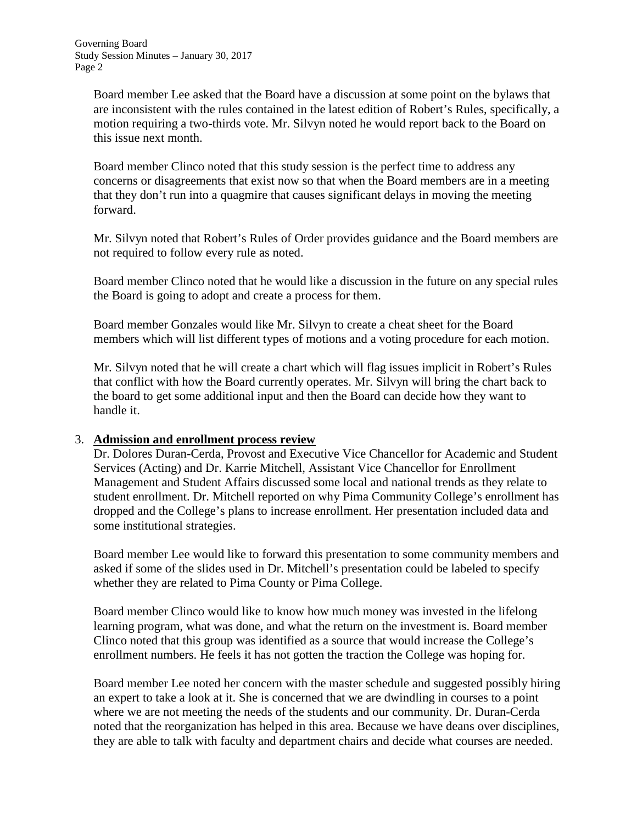Board member Lee asked that the Board have a discussion at some point on the bylaws that are inconsistent with the rules contained in the latest edition of Robert's Rules, specifically, a motion requiring a two-thirds vote. Mr. Silvyn noted he would report back to the Board on this issue next month.

Board member Clinco noted that this study session is the perfect time to address any concerns or disagreements that exist now so that when the Board members are in a meeting that they don't run into a quagmire that causes significant delays in moving the meeting forward.

Mr. Silvyn noted that Robert's Rules of Order provides guidance and the Board members are not required to follow every rule as noted.

Board member Clinco noted that he would like a discussion in the future on any special rules the Board is going to adopt and create a process for them.

Board member Gonzales would like Mr. Silvyn to create a cheat sheet for the Board members which will list different types of motions and a voting procedure for each motion.

Mr. Silvyn noted that he will create a chart which will flag issues implicit in Robert's Rules that conflict with how the Board currently operates. Mr. Silvyn will bring the chart back to the board to get some additional input and then the Board can decide how they want to handle it.

# 3. **Admission and enrollment process review**

Dr. Dolores Duran-Cerda, Provost and Executive Vice Chancellor for Academic and Student Services (Acting) and Dr. Karrie Mitchell, Assistant Vice Chancellor for Enrollment Management and Student Affairs discussed some local and national trends as they relate to student enrollment. Dr. Mitchell reported on why Pima Community College's enrollment has dropped and the College's plans to increase enrollment. Her presentation included data and some institutional strategies.

Board member Lee would like to forward this presentation to some community members and asked if some of the slides used in Dr. Mitchell's presentation could be labeled to specify whether they are related to Pima County or Pima College.

Board member Clinco would like to know how much money was invested in the lifelong learning program, what was done, and what the return on the investment is. Board member Clinco noted that this group was identified as a source that would increase the College's enrollment numbers. He feels it has not gotten the traction the College was hoping for.

Board member Lee noted her concern with the master schedule and suggested possibly hiring an expert to take a look at it. She is concerned that we are dwindling in courses to a point where we are not meeting the needs of the students and our community. Dr. Duran-Cerda noted that the reorganization has helped in this area. Because we have deans over disciplines, they are able to talk with faculty and department chairs and decide what courses are needed.